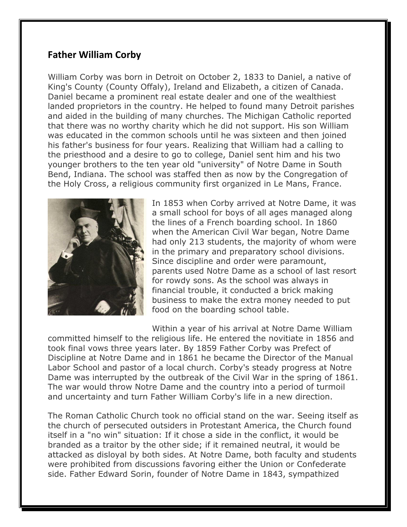## **Father William Corby**

William Corby was born in Detroit on October 2, 1833 to Daniel, a native of King's County (County Offaly), Ireland and Elizabeth, a citizen of Canada. Daniel became a prominent real estate dealer and one of the wealthiest landed proprietors in the country. He helped to found many Detroit parishes and aided in the building of many churches. The Michigan Catholic reported that there was no worthy charity which he did not support. His son William was educated in the common schools until he was sixteen and then joined his father's business for four years. Realizing that William had a calling to the priesthood and a desire to go to college, Daniel sent him and his two younger brothers to the ten year old "university" of Notre Dame in South Bend, Indiana. The school was staffed then as now by the Congregation of the Holy Cross, a religious community first organized in Le Mans, France.



In 1853 when Corby arrived at Notre Dame, it was a small school for boys of all ages managed along the lines of a French boarding school. In 1860 when the American Civil War began, Notre Dame had only 213 students, the majority of whom were in the primary and preparatory school divisions. Since discipline and order were paramount, parents used Notre Dame as a school of last resort for rowdy sons. As the school was always in financial trouble, it conducted a brick making business to make the extra money needed to put food on the boarding school table.

Within a year of his arrival at Notre Dame William committed himself to the religious life. He entered the novitiate in 1856 and took final vows three years later. By 1859 Father Corby was Prefect of Discipline at Notre Dame and in 1861 he became the Director of the Manual Labor School and pastor of a local church. Corby's steady progress at Notre Dame was interrupted by the outbreak of the Civil War in the spring of 1861. The war would throw Notre Dame and the country into a period of turmoil and uncertainty and turn Father William Corby's life in a new direction.

The Roman Catholic Church took no official stand on the war. Seeing itself as the church of persecuted outsiders in Protestant America, the Church found itself in a "no win" situation: If it chose a side in the conflict, it would be branded as a traitor by the other side; if it remained neutral, it would be attacked as disloyal by both sides. At Notre Dame, both faculty and students were prohibited from discussions favoring either the Union or Confederate side. Father Edward Sorin, founder of Notre Dame in 1843, sympathized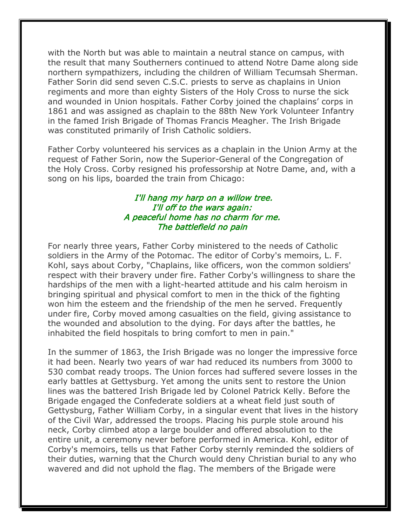with the North but was able to maintain a neutral stance on campus, with the result that many Southerners continued to attend Notre Dame along side northern sympathizers, including the children of William Tecumsah Sherman. Father Sorin did send seven C.S.C. priests to serve as chaplains in Union regiments and more than eighty Sisters of the Holy Cross to nurse the sick and wounded in Union hospitals. Father Corby joined the chaplains' corps in 1861 and was assigned as chaplain to the 88th New York Volunteer Infantry in the famed Irish Brigade of Thomas Francis Meagher. The Irish Brigade was constituted primarily of Irish Catholic soldiers.

Father Corby volunteered his services as a chaplain in the Union Army at the request of Father Sorin, now the Superior-General of the Congregation of the Holy Cross. Corby resigned his professorship at Notre Dame, and, with a song on his lips, boarded the train from Chicago:

## I'll hang my harp on a willow tree. I'll off to the wars again: A peaceful home has no charm for me. The battlefield no pain

For nearly three years, Father Corby ministered to the needs of Catholic soldiers in the Army of the Potomac. The editor of Corby's memoirs, L. F. Kohl, says about Corby, "Chaplains, like officers, won the common soldiers' respect with their bravery under fire. Father Corby's willingness to share the hardships of the men with a light-hearted attitude and his calm heroism in bringing spiritual and physical comfort to men in the thick of the fighting won him the esteem and the friendship of the men he served. Frequently under fire, Corby moved among casualties on the field, giving assistance to the wounded and absolution to the dying. For days after the battles, he inhabited the field hospitals to bring comfort to men in pain."

In the summer of 1863, the Irish Brigade was no longer the impressive force it had been. Nearly two years of war had reduced its numbers from 3000 to 530 combat ready troops. The Union forces had suffered severe losses in the early battles at Gettysburg. Yet among the units sent to restore the Union lines was the battered Irish Brigade led by Colonel Patrick Kelly. Before the Brigade engaged the Confederate soldiers at a wheat field just south of Gettysburg, Father William Corby, in a singular event that lives in the history of the Civil War, addressed the troops. Placing his purple stole around his neck, Corby climbed atop a large boulder and offered absolution to the entire unit, a ceremony never before performed in America. Kohl, editor of Corby's memoirs, tells us that Father Corby sternly reminded the soldiers of their duties, warning that the Church would deny Christian burial to any who wavered and did not uphold the flag. The members of the Brigade were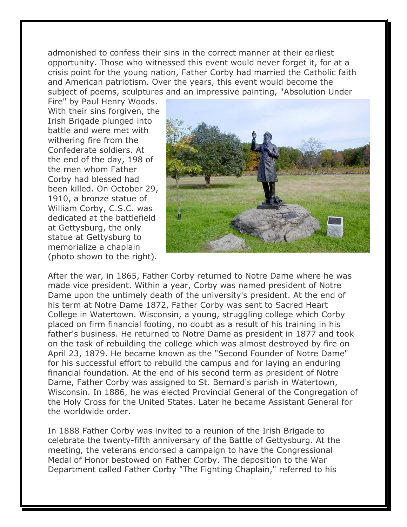admonished to confess their sins in the correct manner at their earliest opportunity. Those who witnessed this event would never forget it, for at a crisis point for the young nation, Father Corby had married the Catholic faith and American patriotism. Over the years, this event would become the subject of poems, sculptures and an impressive painting, "Absolution Under

Fire" by Paul Henry Woods. With their sins forgiven, the Irish Brigade plunged into battle and were met with withering fire from the Confederate soldiers. At the end of the day, 198 of the men whom Father Corby had blessed had been killed. On October 29, 1910, a bronze statue of William Corby, C.S.C. was dedicated at the battlefield at Gettysburg, the only statue at Gettysburg to memorialize a chaplain (photo shown to the right).



After the war, in 1865, Father Corby returned to Notre Dame where he was made vice president. Within a year, Corby was named president of Notre Dame upon the untimely death of the university's president. At the end of his term at Notre Dame 1872, Father Corby was sent to Sacred Heart College in Watertown. Wisconsin, a young, struggling college which Corby placed on firm financial footing, no doubt as a result of his training in his father's business. He returned to Notre Dame as president in 1877 and took on the task of rebuilding the college which was almost destroyed by fire on April 23, 1879. He became known as the "Second Founder of Notre Dame" for his successful effort to rebuild the campus and for laying an enduring financial foundation. At the end of his second term as president of Notre Dame, Father Corby was assigned to St. Bernard's parish in Watertown, Wisconsin. In 1886, he was elected Provincial General of the Congregation of the Holy Cross for the United States. Later he became Assistant General for the worldwide order.

In 1888 Father Corby was invited to a reunion of the Irish Brigade to celebrate the twenty-fifth anniversary of the Battle of Gettysburg. At the meeting, the veterans endorsed a campaign to have the Congressional Medal of Honor bestowed on Father Corby. The deposition to the War Department called Father Corby "The Fighting Chaplain," referred to his